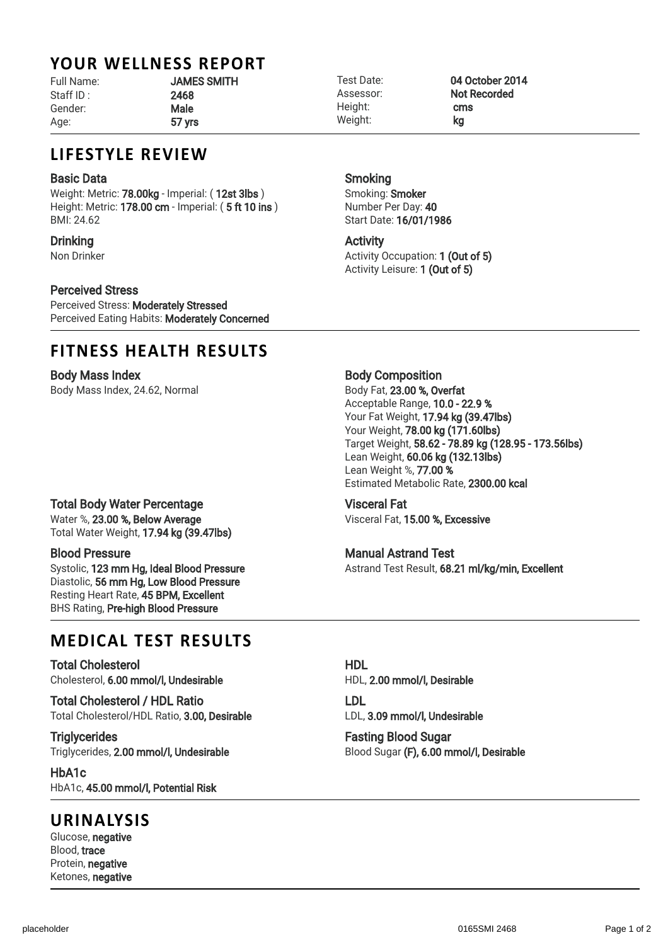# YOUR WELLNESS REPORT

Staff ID : 2468 Gender: Male Age: 57 yrs

# Full Name: **JAMES SMITH**

Height: **cms** Weight: **kg** 

Smoking

Activity

Smoking: Smoker Number Per Day: 40 Start Date: 16/01/1986

Test Date: 04 October 2014 Assessor: Not Recorded

# LIFESTYLE REVIEW

#### Basic Data

Weight: Metric: 78.00kg - Imperial: (12st 3lbs) Height: Metric: 178.00 cm - Imperial: (5 ft 10 ins) BMI: 24.62

### **Drinking**

Non Drinker

## Perceived Stress

Perceived Stress: Moderately Stressed Perceived Eating Habits: Moderately Concerned

# FITNESS HEALTH RESULTS

Body Mass Index Body Mass Index, 24.62, Normal

Activity Occupation: 1 (Out of 5) Activity Leisure: 1 (Out of 5)

Body Composition

Body Fat, 23.00 %, Overfat Acceptable Range, 10.0 - 22.9 % Your Fat Weight, 17.94 kg (39.47lbs) Your Weight, 78.00 kg (171.60lbs) Target Weight, 58.62 - 78.89 kg (128.95 - 173.56lbs) Lean Weight, 60.06 kg (132.13lbs) Lean Weight %, 77.00 % Estimated Metabolic Rate, 2300.00 kcal

Visceral Fat Visceral Fat, 15.00 %, Excessive

#### Manual Astrand Test Astrand Test Result, 68.21 ml/kg/min, Excellent

# MEDICAL TEST RESULTS

Total Cholesterol Cholesterol, 6.00 mmol/l, Undesirable

Total Cholesterol / HDL Ratio Total Cholesterol/HDL Ratio, 3.00, Desirable

**Triglycerides** Triglycerides, 2.00 mmol/l, Undesirable

HbA1c HbA1c, 45.00 mmol/l, Potential Risk

## URINALYSIS

Glucose, negative Blood, trace Protein, negative Ketones, negative HDL HDL, 2.00 mmol/l, Desirable

LDL LDL, 3.09 mmol/l, Undesirable

Fasting Blood Sugar Blood Sugar (F), 6.00 mmol/l, Desirable

Total Water Weight, 17.94 kg (39.47lbs) Blood Pressure

Total Body Water Percentage Water %, 23.00 %, Below Average

Systolic, 123 mm Hg, Ideal Blood Pressure Diastolic, 56 mm Hg, Low Blood Pressure Resting Heart Rate, 45 BPM, Excellent BHS Rating, Pre-high Blood Pressure